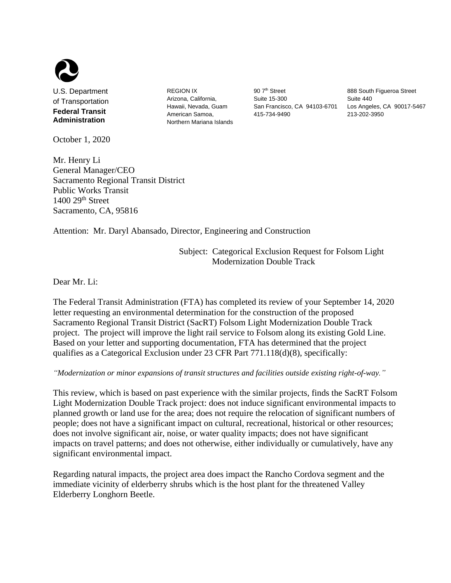

U.S. Department of Transportation **Federal Transit Administration**

October 1, 2020

REGION IX Arizona, California, Hawaii, Nevada, Guam American Samoa, Northern Mariana Islands

90 7<sup>th</sup> Street Suite 15-300 San Francisco, CA 94103-6701 Los Angeles, CA 90017-5467 415-734-9490

888 South Figueroa Street Suite 440 213-202-3950

Mr. Henry Li General Manager/CEO Sacramento Regional Transit District Public Works Transit  $1400$   $29<sup>th</sup>$  Street Sacramento, CA, 95816

Attention: Mr. Daryl Abansado, Director, Engineering and Construction

Subject: Categorical Exclusion Request for Folsom Light Modernization Double Track

Dear Mr. Li:

The Federal Transit Administration (FTA) has completed its review of your September 14, 2020 letter requesting an environmental determination for the construction of the proposed Sacramento Regional Transit District (SacRT) Folsom Light Modernization Double Track project. The project will improve the light rail service to Folsom along its existing Gold Line. Based on your letter and supporting documentation, FTA has determined that the project qualifies as a Categorical Exclusion under 23 CFR Part 771.118(d)(8), specifically:

*"Modernization or minor expansions of transit structures and facilities outside existing right-of-way."*

This review, which is based on past experience with the similar projects, finds the SacRT Folsom Light Modernization Double Track project: does not induce significant environmental impacts to planned growth or land use for the area; does not require the relocation of significant numbers of people; does not have a significant impact on cultural, recreational, historical or other resources; does not involve significant air, noise, or water quality impacts; does not have significant impacts on travel patterns; and does not otherwise, either individually or cumulatively, have any significant environmental impact.

Regarding natural impacts, the project area does impact the Rancho Cordova segment and the immediate vicinity of elderberry shrubs which is the host plant for the threatened Valley Elderberry Longhorn Beetle.